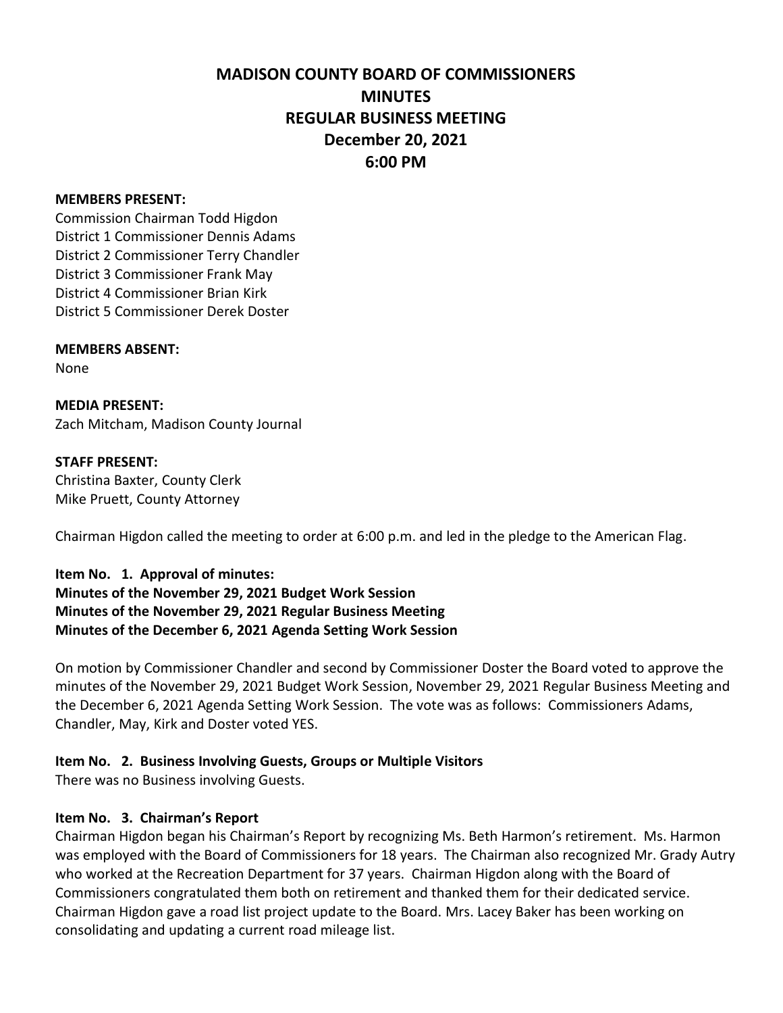# **MADISON COUNTY BOARD OF COMMISSIONERS MINUTES REGULAR BUSINESS MEETING December 20, 2021 6:00 PM**

#### **MEMBERS PRESENT:**

Commission Chairman Todd Higdon District 1 Commissioner Dennis Adams District 2 Commissioner Terry Chandler District 3 Commissioner Frank May District 4 Commissioner Brian Kirk District 5 Commissioner Derek Doster

#### **MEMBERS ABSENT:**

None

**MEDIA PRESENT:** Zach Mitcham, Madison County Journal

#### **STAFF PRESENT:**

Christina Baxter, County Clerk Mike Pruett, County Attorney

Chairman Higdon called the meeting to order at 6:00 p.m. and led in the pledge to the American Flag.

**Item No. 1. Approval of minutes: Minutes of the November 29, 2021 Budget Work Session Minutes of the November 29, 2021 Regular Business Meeting Minutes of the December 6, 2021 Agenda Setting Work Session** 

On motion by Commissioner Chandler and second by Commissioner Doster the Board voted to approve the minutes of the November 29, 2021 Budget Work Session, November 29, 2021 Regular Business Meeting and the December 6, 2021 Agenda Setting Work Session. The vote was as follows: Commissioners Adams, Chandler, May, Kirk and Doster voted YES.

#### **Item No. 2. Business Involving Guests, Groups or Multiple Visitors**

There was no Business involving Guests.

#### **Item No. 3. Chairman's Report**

Chairman Higdon began his Chairman's Report by recognizing Ms. Beth Harmon's retirement. Ms. Harmon was employed with the Board of Commissioners for 18 years. The Chairman also recognized Mr. Grady Autry who worked at the Recreation Department for 37 years. Chairman Higdon along with the Board of Commissioners congratulated them both on retirement and thanked them for their dedicated service. Chairman Higdon gave a road list project update to the Board. Mrs. Lacey Baker has been working on consolidating and updating a current road mileage list.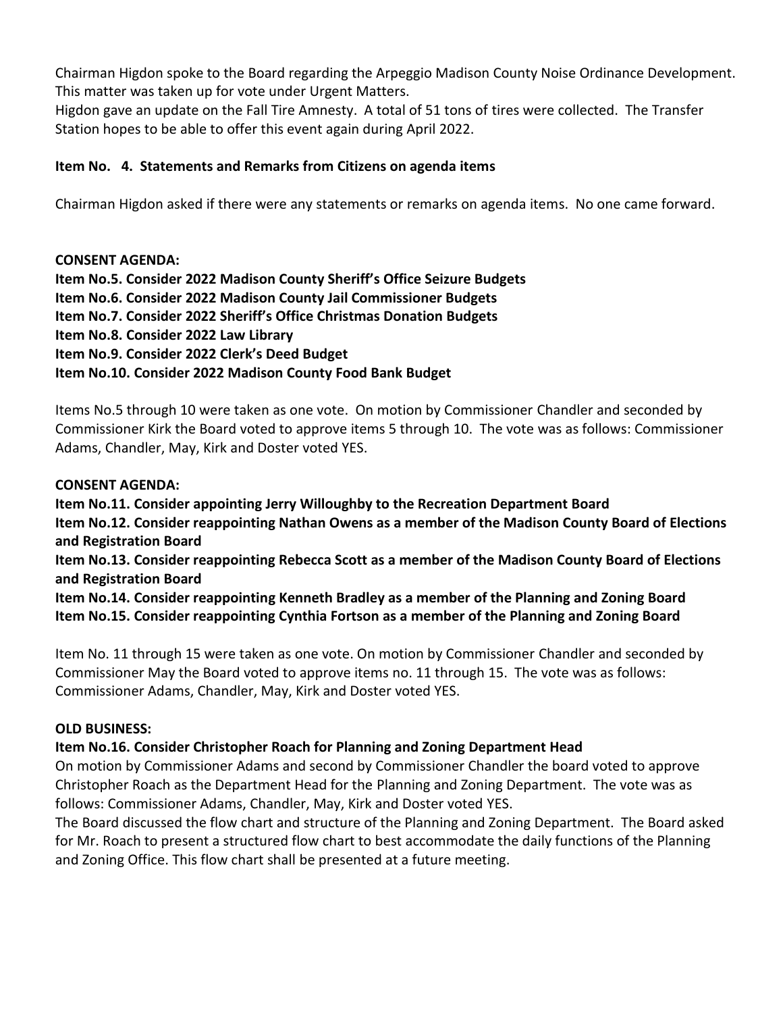Chairman Higdon spoke to the Board regarding the Arpeggio Madison County Noise Ordinance Development. This matter was taken up for vote under Urgent Matters.

Higdon gave an update on the Fall Tire Amnesty. A total of 51 tons of tires were collected. The Transfer Station hopes to be able to offer this event again during April 2022.

## **Item No. 4. Statements and Remarks from Citizens on agenda items**

Chairman Higdon asked if there were any statements or remarks on agenda items. No one came forward.

**CONSENT AGENDA: Item No.5. Consider 2022 Madison County Sheriff's Office Seizure Budgets Item No.6. Consider 2022 Madison County Jail Commissioner Budgets Item No.7. Consider 2022 Sheriff's Office Christmas Donation Budgets Item No.8. Consider 2022 Law Library Item No.9. Consider 2022 Clerk's Deed Budget Item No.10. Consider 2022 Madison County Food Bank Budget**

Items No.5 through 10 were taken as one vote. On motion by Commissioner Chandler and seconded by Commissioner Kirk the Board voted to approve items 5 through 10. The vote was as follows: Commissioner Adams, Chandler, May, Kirk and Doster voted YES.

### **CONSENT AGENDA:**

**Item No.11. Consider appointing Jerry Willoughby to the Recreation Department Board Item No.12. Consider reappointing Nathan Owens as a member of the Madison County Board of Elections and Registration Board Item No.13. Consider reappointing Rebecca Scott as a member of the Madison County Board of Elections and Registration Board Item No.14. Consider reappointing Kenneth Bradley as a member of the Planning and Zoning Board Item No.15. Consider reappointing Cynthia Fortson as a member of the Planning and Zoning Board**

Item No. 11 through 15 were taken as one vote. On motion by Commissioner Chandler and seconded by Commissioner May the Board voted to approve items no. 11 through 15. The vote was as follows: Commissioner Adams, Chandler, May, Kirk and Doster voted YES.

#### **OLD BUSINESS:**

### **Item No.16. Consider Christopher Roach for Planning and Zoning Department Head**

On motion by Commissioner Adams and second by Commissioner Chandler the board voted to approve Christopher Roach as the Department Head for the Planning and Zoning Department. The vote was as follows: Commissioner Adams, Chandler, May, Kirk and Doster voted YES.

The Board discussed the flow chart and structure of the Planning and Zoning Department. The Board asked for Mr. Roach to present a structured flow chart to best accommodate the daily functions of the Planning and Zoning Office. This flow chart shall be presented at a future meeting.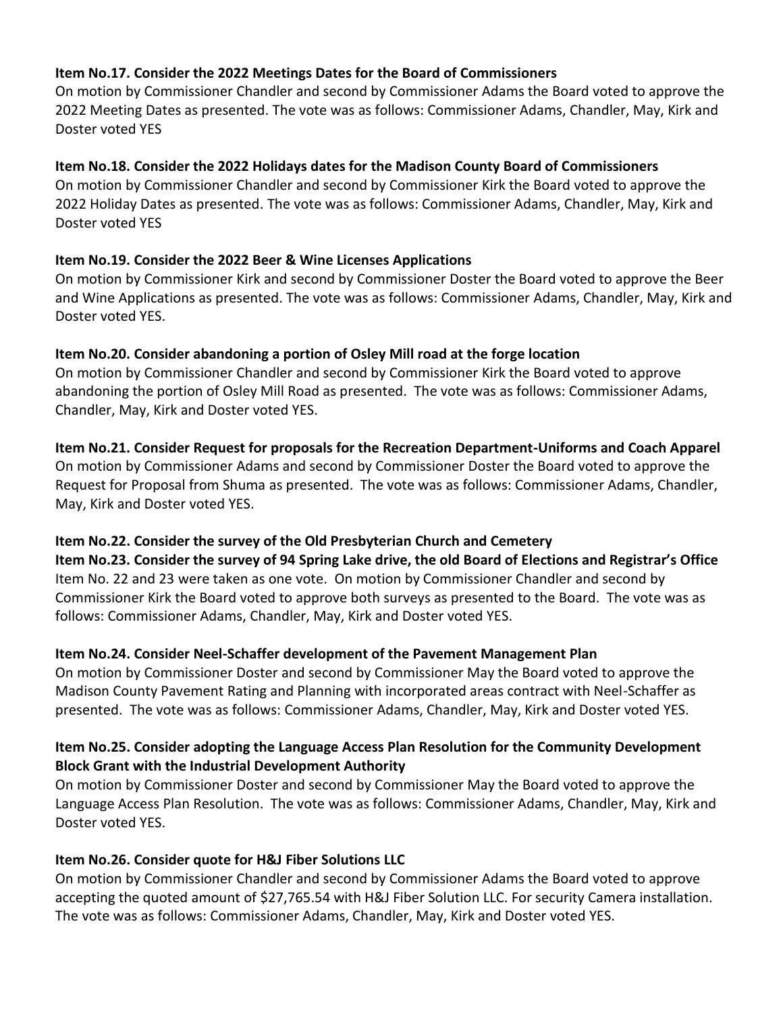## **Item No.17. Consider the 2022 Meetings Dates for the Board of Commissioners**

On motion by Commissioner Chandler and second by Commissioner Adams the Board voted to approve the 2022 Meeting Dates as presented. The vote was as follows: Commissioner Adams, Chandler, May, Kirk and Doster voted YES

# **Item No.18. Consider the 2022 Holidays dates for the Madison County Board of Commissioners**

On motion by Commissioner Chandler and second by Commissioner Kirk the Board voted to approve the 2022 Holiday Dates as presented. The vote was as follows: Commissioner Adams, Chandler, May, Kirk and Doster voted YES

# **Item No.19. Consider the 2022 Beer & Wine Licenses Applications**

On motion by Commissioner Kirk and second by Commissioner Doster the Board voted to approve the Beer and Wine Applications as presented. The vote was as follows: Commissioner Adams, Chandler, May, Kirk and Doster voted YES.

# **Item No.20. Consider abandoning a portion of Osley Mill road at the forge location**

On motion by Commissioner Chandler and second by Commissioner Kirk the Board voted to approve abandoning the portion of Osley Mill Road as presented. The vote was as follows: Commissioner Adams, Chandler, May, Kirk and Doster voted YES.

# **Item No.21. Consider Request for proposals for the Recreation Department-Uniforms and Coach Apparel**

On motion by Commissioner Adams and second by Commissioner Doster the Board voted to approve the Request for Proposal from Shuma as presented. The vote was as follows: Commissioner Adams, Chandler, May, Kirk and Doster voted YES.

### **Item No.22. Consider the survey of the Old Presbyterian Church and Cemetery**

**Item No.23. Consider the survey of 94 Spring Lake drive, the old Board of Elections and Registrar's Office** Item No. 22 and 23 were taken as one vote. On motion by Commissioner Chandler and second by Commissioner Kirk the Board voted to approve both surveys as presented to the Board. The vote was as follows: Commissioner Adams, Chandler, May, Kirk and Doster voted YES.

# **Item No.24. Consider Neel-Schaffer development of the Pavement Management Plan**

On motion by Commissioner Doster and second by Commissioner May the Board voted to approve the Madison County Pavement Rating and Planning with incorporated areas contract with Neel-Schaffer as presented. The vote was as follows: Commissioner Adams, Chandler, May, Kirk and Doster voted YES.

# **Item No.25. Consider adopting the Language Access Plan Resolution for the Community Development Block Grant with the Industrial Development Authority**

On motion by Commissioner Doster and second by Commissioner May the Board voted to approve the Language Access Plan Resolution. The vote was as follows: Commissioner Adams, Chandler, May, Kirk and Doster voted YES.

### **Item No.26. Consider quote for H&J Fiber Solutions LLC**

On motion by Commissioner Chandler and second by Commissioner Adams the Board voted to approve accepting the quoted amount of \$27,765.54 with H&J Fiber Solution LLC. For security Camera installation. The vote was as follows: Commissioner Adams, Chandler, May, Kirk and Doster voted YES.